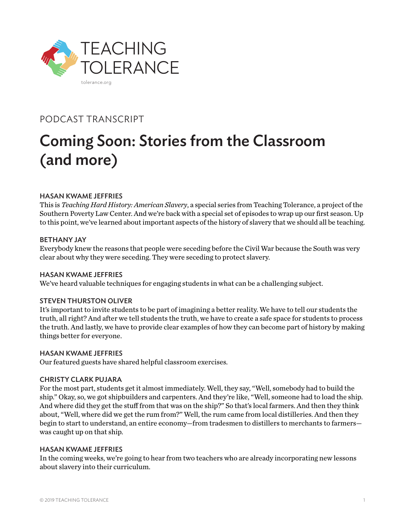

# PODCAST TRANSCRIPT

# Coming Soon: Stories from the Classroom (and more)

# HASAN KWAME JEFFRIES

This is *Teaching Hard History: American Slavery*, a special series from Teaching Tolerance, a project of the Southern Poverty Law Center. And we're back with a special set of episodes to wrap up our first season. Up to this point, we've learned about important aspects of the history of slavery that we should all be teaching.

# BETHANY JAY

Everybody knew the reasons that people were seceding before the Civil War because the South was very clear about why they were seceding. They were seceding to protect slavery.

# HASAN KWAME JEFFRIES

We've heard valuable techniques for engaging students in what can be a challenging subject.

# STEVEN THURSTON OLIVER

It's important to invite students to be part of imagining a better reality. We have to tell our students the truth, all right? And after we tell students the truth, we have to create a safe space for students to process the truth. And lastly, we have to provide clear examples of how they can become part of history by making things better for everyone.

# HASAN KWAME JEFFRIES

Our featured guests have shared helpful classroom exercises.

#### CHRISTY CLARK PUJARA

For the most part, students get it almost immediately. Well, they say, "Well, somebody had to build the ship." Okay, so, we got shipbuilders and carpenters. And they're like, "Well, someone had to load the ship. And where did they get the stuff from that was on the ship?" So that's local farmers. And then they think about, "Well, where did we get the rum from?" Well, the rum came from local distilleries. And then they begin to start to understand, an entire economy—from tradesmen to distillers to merchants to farmers was caught up on that ship.

#### HASAN KWAME JEFFRIES

In the coming weeks, we're going to hear from two teachers who are already incorporating new lessons about slavery into their curriculum.